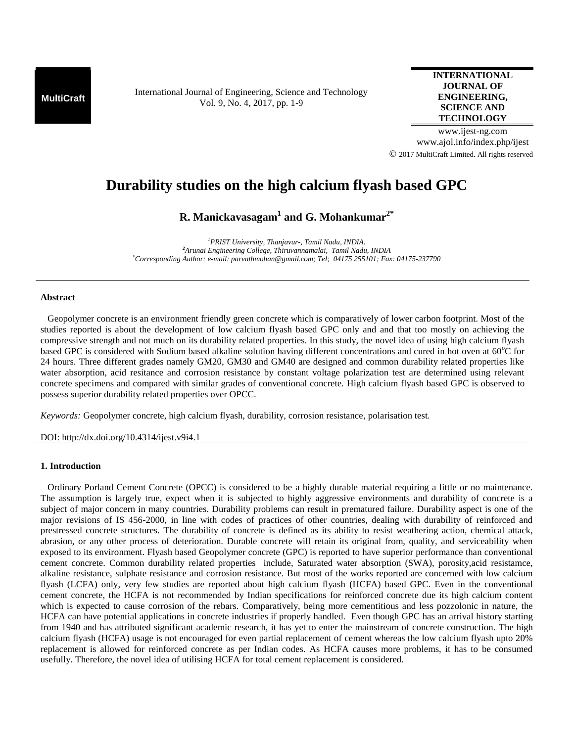**MultiCraft** International Journal of Engineering, Science and Technology Vol. 9, No. 4, 2017, pp. 1-9

**INTERNATIONAL JOURNAL OF ENGINEERING, SCIENCE AND TECHNOLOGY**

www.ijest-ng.com www.ajol.info/index.php/ijest 2017 MultiCraft Limited. All rights reserved

# **Durability studies on the high calcium flyash based GPC**

**R. Manickavasagam<sup>1</sup> and G. Mohankumar2\***

*<sup>1</sup>PRIST University, Thanjavur-, Tamil Nadu, INDIA. <sup>2</sup>Arunai Engineering College, Thiruvannamalai, Tamil Nadu, INDIA \*Corresponding Author: e-mail: parvathmohan@gmail.com; Tel; 04175 255101; Fax: 04175-237790*

### **Abstract**

Geopolymer concrete is an environment friendly green concrete which is comparatively of lower carbon footprint. Most of the studies reported is about the development of low calcium flyash based GPC only and and that too mostly on achieving the compressive strength and not much on its durability related properties. In this study, the novel idea of using high calcium flyash based GPC is considered with Sodium based alkaline solution having different concentrations and cured in hot oven at  $60^{\circ}$ C for 24 hours. Three different grades namely GM20, GM30 and GM40 are designed and common durability related properties like water absorption, acid resitance and corrosion resistance by constant voltage polarization test are determined using relevant concrete specimens and compared with similar grades of conventional concrete. High calcium flyash based GPC is observed to possess superior durability related properties over OPCC.

*Keywords:* Geopolymer concrete, high calcium flyash, durability, corrosion resistance, polarisation test.

DOI: http://dx.doi.org/10.4314/ijest.v9i4.1

## **1. Introduction**

 Ordinary Porland Cement Concrete (OPCC) is considered to be a highly durable material requiring a little or no maintenance. The assumption is largely true, expect when it is subjected to highly aggressive environments and durability of concrete is a subject of major concern in many countries. Durability problems can result in prematured failure. Durability aspect is one of the major revisions of IS 456-2000, in line with codes of practices of other countries, dealing with durability of reinforced and prestressed concrete structures. The durability of concrete is defined as its ability to resist weathering action, chemical attack, abrasion, or any other process of deterioration. Durable concrete will retain its original from, quality, and serviceability when exposed to its environment. Flyash based Geopolymer concrete (GPC) is reported to have superior performance than conventional cement concrete. Common durability related properties include, Saturated water absorption (SWA), porosity,acid resistamce, alkaline resistance, sulphate resistance and corrosion resistance. But most of the works reported are concerned with low calcium flyash (LCFA) only, very few studies are reported about high calcium flyash (HCFA) based GPC. Even in the conventional cement concrete, the HCFA is not recommended by Indian specifications for reinforced concrete due its high calcium content which is expected to cause corrosion of the rebars. Comparatively, being more cementitious and less pozzolonic in nature, the HCFA can have potential applications in concrete industries if properly handled. Even though GPC has an arrival history starting from 1940 and has attributed significant academic research, it has yet to enter the mainstream of concrete construction. The high calcium flyash (HCFA) usage is not encouraged for even partial replacement of cement whereas the low calcium flyash upto 20% replacement is allowed for reinforced concrete as per Indian codes. As HCFA causes more problems, it has to be consumed usefully. Therefore, the novel idea of utilising HCFA for total cement replacement is considered.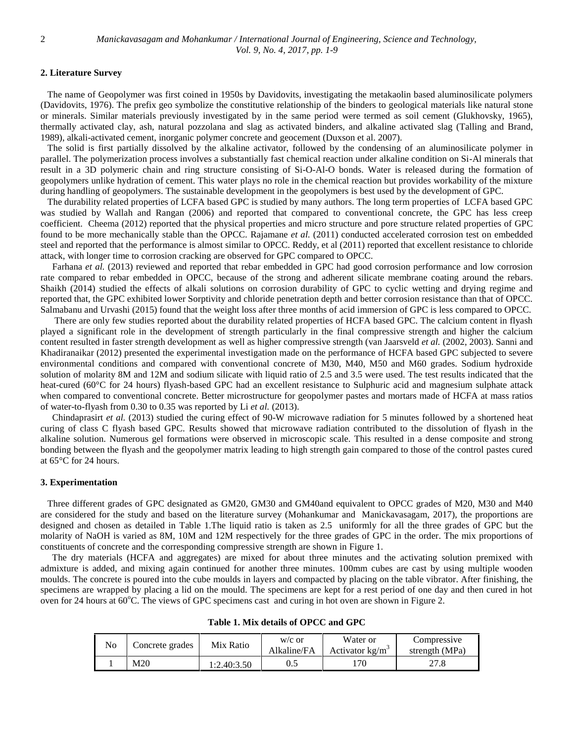## **2. Literature Survey**

 The name of Geopolymer was first coined in 1950s by Davidovits, investigating the metakaolin based aluminosilicate polymers (Davidovits, 1976). The prefix geo symbolize the constitutive relationship of the binders to geological materials like natural stone or minerals. Similar materials previously investigated by in the same period were termed as soil cement (Glukhovsky, 1965), thermally activated clay, ash, natural pozzolana and slag as activated binders, and alkaline activated slag (Talling and Brand, 1989), alkali-activated cement, inorganic polymer concrete and geocement (Duxson et al. 2007).

The solid is first partially dissolved by the alkaline activator, followed by the condensing of an aluminosilicate polymer in parallel. The polymerization process involves a substantially fast chemical reaction under alkaline condition on Si-Al minerals that result in a 3D polymeric chain and ring structure consisting of Si-O-Al-O bonds. Water is released during the formation of geopolymers unlike hydration of cement. This water plays no role in the chemical reaction but provides workability of the mixture during handling of geopolymers. The sustainable development in the geopolymers is best used by the development of GPC.

 The durability related properties of LCFA based GPC is studied by many authors. The long term properties of LCFA based GPC was studied by Wallah and Rangan (2006) and reported that compared to conventional concrete, the GPC has less creep coefficient. Cheema (2012) reported that the physical properties and micro structure and pore structure related properties of GPC found to be more mechanically stable than the OPCC. Rajamane *et al.* (2011) conducted accelerated corrosion test on embedded steel and reported that the performance is almost similar to OPCC. Reddy, et al (2011) reported that excellent resistance to chloride attack, with longer time to corrosion cracking are observed for GPC compared to OPCC.

Farhana *et al.* (2013) reviewed and reported that rebar embedded in GPC had good corrosion performance and low corrosion rate compared to rebar embedded in OPCC, because of the strong and adherent silicate membrane coating around the rebars. Shaikh (2014) studied the effects of alkali solutions on corrosion durability of GPC to cyclic wetting and drying regime and reported that, the GPC exhibited lower Sorptivity and chloride penetration depth and better corrosion resistance than that of OPCC. Salmabanu and Urvashi (2015) found that the weight loss after three months of acid immersion of GPC is less compared to OPCC.

 There are only few studies reported about the durability related properties of HCFA based GPC. The calcium content in flyash played a significant role in the development of strength particularly in the final compressive strength and higher the calcium content resulted in faster strength development as well as higher compressive strength (van Jaarsveld *et al.* (2002, 2003). Sanni and Khadiranaikar (2012) presented the experimental investigation made on the performance of HCFA based GPC subjected to severe environmental conditions and compared with conventional concrete of M30, M40, M50 and M60 grades. Sodium hydroxide solution of molarity 8M and 12M and sodium silicate with liquid ratio of 2.5 and 3.5 were used. The test results indicated that the heat-cured (60°C for 24 hours) flyash-based GPC had an excellent resistance to Sulphuric acid and magnesium sulphate attack when compared to conventional concrete. Better microstructure for geopolymer pastes and mortars made of HCFA at mass ratios of water-to-flyash from 0.30 to 0.35 was reported by Li *et al.* (2013).

Chindaprasirt *et al.* (2013) studied the curing effect of 90-W microwave radiation for 5 minutes followed by a shortened heat curing of class C flyash based GPC. Results showed that microwave radiation contributed to the dissolution of flyash in the alkaline solution. Numerous gel formations were observed in microscopic scale. This resulted in a dense composite and strong bonding between the flyash and the geopolymer matrix leading to high strength gain compared to those of the control pastes cured at 65°C for 24 hours.

#### **3. Experimentation**

 Three different grades of GPC designated as GM20, GM30 and GM40and equivalent to OPCC grades of M20, M30 and M40 are considered for the study and based on the literature survey (Mohankumar and Manickavasagam, 2017), the proportions are designed and chosen as detailed in Table 1.The liquid ratio is taken as 2.5 uniformly for all the three grades of GPC but the molarity of NaOH is varied as 8M, 10M and 12M respectively for the three grades of GPC in the order. The mix proportions of constituents of concrete and the corresponding compressive strength are shown in Figure 1.

The dry materials (HCFA and aggregates) are mixed for about three minutes and the activating solution premixed with admixture is added, and mixing again continued for another three minutes. 100mm cubes are cast by using multiple wooden moulds. The concrete is poured into the cube moulds in layers and compacted by placing on the table vibrator. After finishing, the specimens are wrapped by placing a lid on the mould. The specimens are kept for a rest period of one day and then cured in hot oven for 24 hours at 60°C. The views of GPC specimens cast and curing in hot oven are shown in Figure 2.

| N <sub>0</sub> | Concrete grades | Mix Ratio   | $W/C$ or<br>Alkaline/FA | Water or<br>Activator $k\frac{g}{m^3}$ | Compressive<br>strength (MPa) |
|----------------|-----------------|-------------|-------------------------|----------------------------------------|-------------------------------|
|                | M20             | 1:2.40:3.50 | U.L                     | 70                                     | 27.8                          |

**Table 1. Mix details of OPCC and GPC**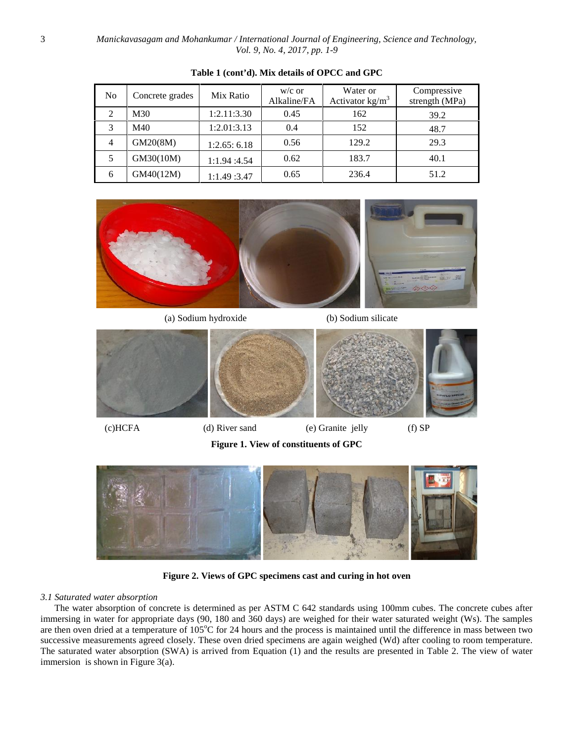*Manickavasagam and Mohankumar / International Journal of Engineering, Science and Technology, Vol. 9, No. 4, 2017, pp. 1-9*

| N <sub>o</sub> | Concrete grades | Mix Ratio    | $w/c$ or<br>Alkaline/FA | Water or<br>Activator $kg/m3$ | Compressive<br>strength (MPa) |
|----------------|-----------------|--------------|-------------------------|-------------------------------|-------------------------------|
| 2              | M30             | 1:2.11:3.30  | 0.45                    | 162                           | 39.2                          |
| 3              | M40             | 1:2.01:3.13  | 0.4                     | 152                           | 48.7                          |
| 4              | GM20(8M)        | 1:2.65:6.18  | 0.56                    | 129.2                         | 29.3                          |
|                | GM30(10M)       | 1:1.94 :4.54 | 0.62                    | 183.7                         | 40.1                          |
| 6              | GM40(12M)       | 1:1.49 :3.47 | 0.65                    | 236.4                         | 51.2                          |

## **Table 1 (cont'd). Mix details of OPCC and GPC**



(a) Sodium hydroxide (b) Sodium silicate



**Figure 1. View of constituents of GPC**



**Figure 2. Views of GPC specimens cast and curing in hot oven**

## *3.1 Saturated water absorption*

 The water absorption of concrete is determined as per ASTM C 642 standards using 100mm cubes. The concrete cubes after immersing in water for appropriate days (90, 180 and 360 days) are weighed for their water saturated weight (Ws). The samples are then oven dried at a temperature of 105°C for 24 hours and the process is maintained until the difference in mass between two successive measurements agreed closely. These oven dried specimens are again weighed (Wd) after cooling to room temperature. The saturated water absorption (SWA) is arrived from Equation (1) and the results are presented in Table 2. The view of water immersion is shown in Figure 3(a).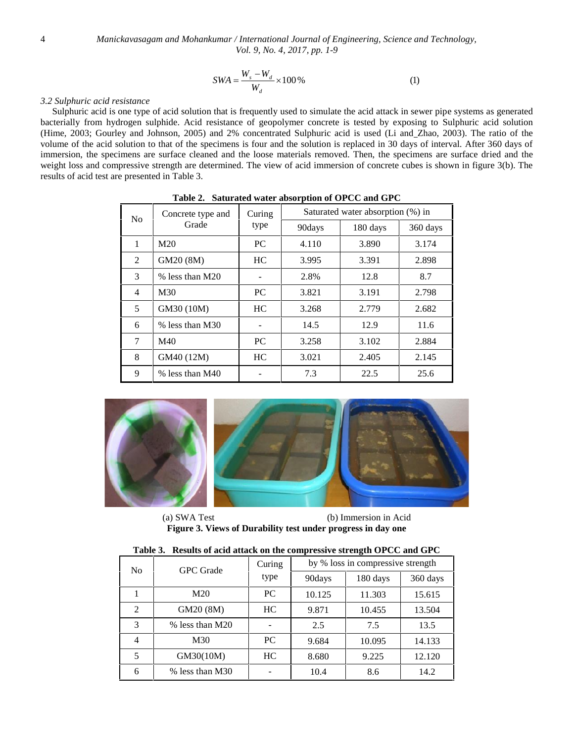$$
SWA = \frac{W_s - W_d}{W_d} \times 100\,\%
$$
 (1)

#### *3.2 Sulphuric acid resistance*

Sulphuric acid is one type of acid solution that is frequently used to simulate the acid attack in sewer pipe systems as generated bacterially from hydrogen sulphide. Acid resistance of geopolymer concrete is tested by exposing to Sulphuric acid solution (Hime, 2003; Gourley and Johnson, 2005) and 2% concentrated Sulphuric acid is used (Li and Zhao, 2003). The ratio of the volume of the acid solution to that of the specimens is four and the solution is replaced in 30 days of interval. After 360 days of immersion, the specimens are surface cleaned and the loose materials removed. Then, the specimens are surface dried and the weight loss and compressive strength are determined. The view of acid immersion of concrete cubes is shown in figure 3(b). The results of acid test are presented in Table 3.

| No.            | Concrete type and | Curing    | Saturated water absorption (%) in |          |          |  |
|----------------|-------------------|-----------|-----------------------------------|----------|----------|--|
|                | Grade             | type      | 90days                            | 180 days | 360 days |  |
| 1              | M <sub>20</sub>   | PC.       | 4.110                             | 3.890    | 3.174    |  |
| 2              | GM20 (8M)         | HC.       | 3.995                             | 3.391    | 2.898    |  |
| 3              | % less than M20   |           | 2.8%                              | 12.8     | 8.7      |  |
| $\overline{4}$ | M <sub>30</sub>   | <b>PC</b> | 3.821                             | 3.191    | 2.798    |  |
| 5              | GM30 (10M)        | HC        | 3.268                             | 2.779    | 2.682    |  |
| 6              | % less than M30   |           | 14.5                              | 12.9     | 11.6     |  |
| 7              | M40               | PC.       | 3.258                             | 3.102    | 2.884    |  |
| 8              | GM40 (12M)        | HC        | 3.021                             | 2.405    | 2.145    |  |
| 9              | % less than M40   |           | 7.3                               | 22.5     | 25.6     |  |

**Table 2. Saturated water absorption of OPCC and GPC**



(a) SWA Test (b) Immersion in Acid **Figure 3. Views of Durability test under progress in day one**

| таріе э.<br>Results of acid attack on the compressive strength OPUC and GPU |                  |        |                                   |          |          |  |  |
|-----------------------------------------------------------------------------|------------------|--------|-----------------------------------|----------|----------|--|--|
| No                                                                          | <b>GPC</b> Grade | Curing | by % loss in compressive strength |          |          |  |  |
|                                                                             |                  | type   | 90days                            | 180 days | 360 days |  |  |
|                                                                             | M20              | PC.    | 10.125                            | 11.303   | 15.615   |  |  |
| 2                                                                           | GM20 (8M)        | HC     | 9.871                             | 10.455   | 13.504   |  |  |
| 3                                                                           | % less than M20  |        | 2.5                               | 7.5      | 13.5     |  |  |
| 4                                                                           | M30              | PC.    | 9.684                             | 10.095   | 14.133   |  |  |
| 5                                                                           | GM30(10M)        | HC     | 8.680                             | 9.225    | 12.120   |  |  |
| 6                                                                           | % less than M30  |        | 10.4                              | 8.6      | 14.2     |  |  |

**Table 3. Results of acid attack on the compressive strength OPCC and GPC**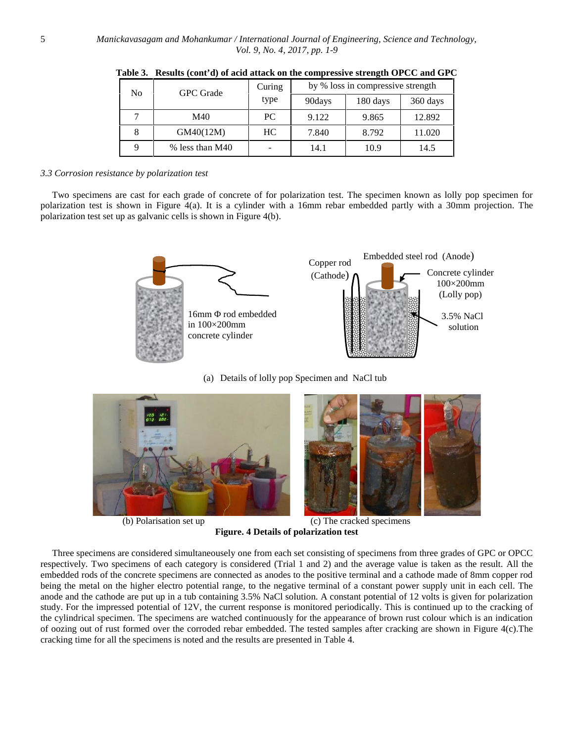| No | <b>GPC</b> Grade | Curing | by % loss in compressive strength |          |          |  |  |
|----|------------------|--------|-----------------------------------|----------|----------|--|--|
|    |                  | type   | 90days                            | 180 days | 360 days |  |  |
|    | M40              | PC     | 9.122                             | 9.865    | 12.892   |  |  |
|    | GM40(12M)        | HC.    | 7.840                             | 8.792    | 11.020   |  |  |
|    | % less than M40  |        | 14.1                              | 10.9     | 14.5     |  |  |

**Table 3. Results (cont'd) of acid attack on the compressive strength OPCC and GPC**

#### *3.3 Corrosion resistance by polarization test*

 Two specimens are cast for each grade of concrete of for polarization test. The specimen known as lolly pop specimen for polarization test is shown in Figure 4(a). It is a cylinder with a 16mm rebar embedded partly with a 30mm projection. The polarization test set up as galvanic cells is shown in Figure 4(b).



(a) Details of lolly pop Specimen and NaCl tub



(b) Polarisation set up (c) The cracked specimens **Figure. 4 Details of polarization test**

 Three specimens are considered simultaneousely one from each set consisting of specimens from three grades of GPC or OPCC respectively. Two specimens of each category is considered (Trial 1 and 2) and the average value is taken as the result. All the embedded rods of the concrete specimens are connected as anodes to the positive terminal and a cathode made of 8mm copper rod being the metal on the higher electro potential range, to the negative terminal of a constant power supply unit in each cell. The anode and the cathode are put up in a tub containing 3.5% NaCl solution. A constant potential of 12 volts is given for polarization study. For the impressed potential of 12V, the current response is monitored periodically. This is continued up to the cracking of the cylindrical specimen. The specimens are watched continuously for the appearance of brown rust colour which is an indication of oozing out of rust formed over the corroded rebar embedded. The tested samples after cracking are shown in Figure 4(c).The cracking time for all the specimens is noted and the results are presented in Table 4.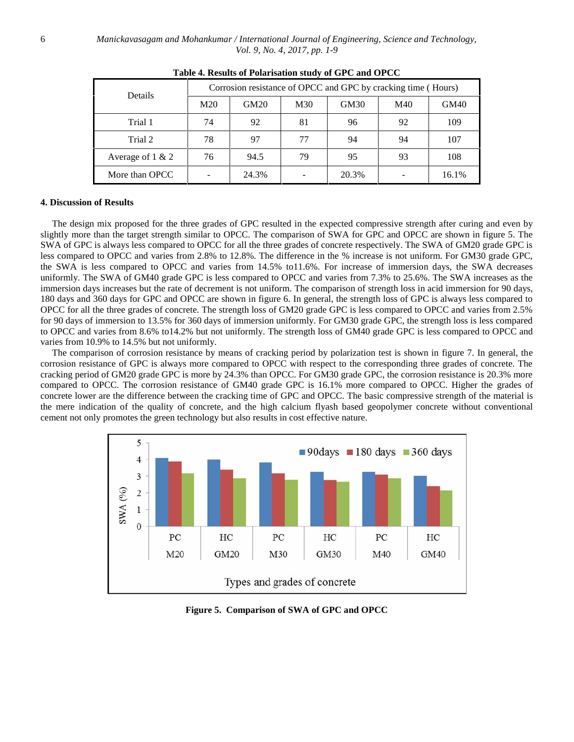| Details             | Corrosion resistance of OPCC and GPC by cracking time (Hours) |       |     |       |     |       |  |
|---------------------|---------------------------------------------------------------|-------|-----|-------|-----|-------|--|
|                     | M20                                                           | GM20  | M30 | GM30  | M40 | GM40  |  |
| Trial 1             | 74                                                            | 92    | 81  | 96    | 92  | 109   |  |
| Trial 2             | 78                                                            | 97    | 77  | 94    | 94  | 107   |  |
| Average of $1 \& 2$ | 76                                                            | 94.5  | 79  | 95    | 93  | 108   |  |
| More than OPCC      |                                                               | 24.3% |     | 20.3% |     | 16.1% |  |

#### **4. Discussion of Results**

 The design mix proposed for the three grades of GPC resulted in the expected compressive strength after curing and even by slightly more than the target strength similar to OPCC. The comparison of SWA for GPC and OPCC are shown in figure 5. The SWA of GPC is always less compared to OPCC for all the three grades of concrete respectively. The SWA of GM20 grade GPC is less compared to OPCC and varies from 2.8% to 12.8%. The difference in the % increase is not uniform. For GM30 grade GPC, the SWA is less compared to OPCC and varies from 14.5% to11.6%. For increase of immersion days, the SWA decreases uniformly. The SWA of GM40 grade GPC is less compared to OPCC and varies from 7.3% to 25.6%. The SWA increases as the immersion days increases but the rate of decrement is not uniform. The comparison of strength loss in acid immersion for 90 days, 180 days and 360 days for GPC and OPCC are shown in figure 6. In general, the strength loss of GPC is always less compared to OPCC for all the three grades of concrete. The strength loss of GM20 grade GPC is less compared to OPCC and varies from 2.5% for 90 days of immersion to 13.5% for 360 days of immersion uniformly. For GM30 grade GPC, the strength loss is less compared to OPCC and varies from 8.6% to14.2% but not uniformly. The strength loss of GM40 grade GPC is less compared to OPCC and varies from 10.9% to 14.5% but not uniformly.

 The comparison of corrosion resistance by means of cracking period by polarization test is shown in figure 7. In general, the corrosion resistance of GPC is always more compared to OPCC with respect to the corresponding three grades of concrete. The cracking period of GM20 grade GPC is more by 24.3% than OPCC. For GM30 grade GPC, the corrosion resistance is 20.3% more compared to OPCC. The corrosion resistance of GM40 grade GPC is 16.1% more compared to OPCC. Higher the grades of concrete lower are the difference between the cracking time of GPC and OPCC. The basic compressive strength of the material is the mere indication of the quality of concrete, and the high calcium flyash based geopolymer concrete without conventional cement not only promotes the green technology but also results in cost effective nature.



**Figure 5. Comparison of SWA of GPC and OPCC**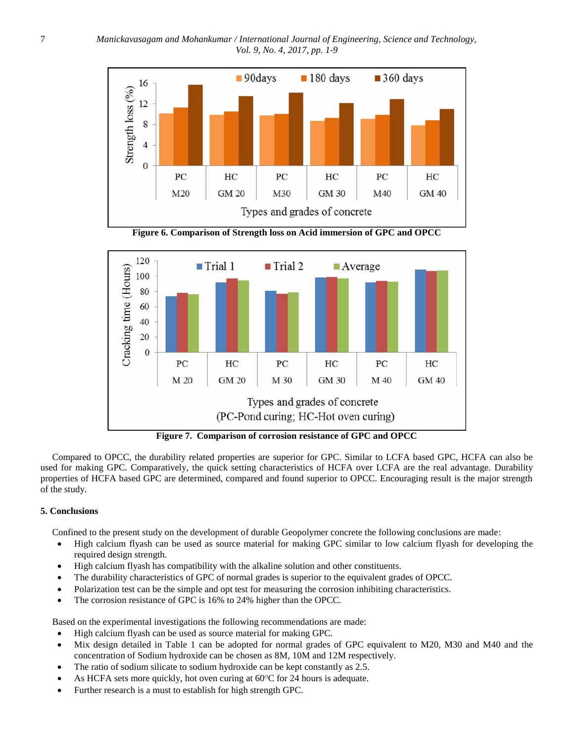

**Figure 6. Comparison of Strength loss on Acid immersion of GPC and OPCC**



**Figure 7. Comparison of corrosion resistance of GPC and OPCC**

Compared to OPCC, the durability related properties are superior for GPC. Similar to LCFA based GPC, HCFA can also be used for making GPC. Comparatively, the quick setting characteristics of HCFA over LCFA are the real advantage. Durability properties of HCFA based GPC are determined, compared and found superior to OPCC. Encouraging result is the major strength of the study.

## **5. Conclusions**

Confined to the present study on the development of durable Geopolymer concrete the following conclusions are made:

- High calcium flyash can be used as source material for making GPC similar to low calcium flyash for developing the required design strength.
- High calcium flyash has compatibility with the alkaline solution and other constituents.
- The durability characteristics of GPC of normal grades is superior to the equivalent grades of OPCC.
- Polarization test can be the simple and opt test for measuring the corrosion inhibiting characteristics.
- The corrosion resistance of GPC is 16% to 24% higher than the OPCC.

Based on the experimental investigations the following recommendations are made:

- High calcium flyash can be used as source material for making GPC.
- Mix design detailed in Table 1 can be adopted for normal grades of GPC equivalent to M20, M30 and M40 and the concentration of Sodium hydroxide can be chosen as 8M, 10M and 12M respectively.
- The ratio of sodium silicate to sodium hydroxide can be kept constantly as 2.5.
- As HCFA sets more quickly, hot oven curing at  $60^{\circ}$ C for 24 hours is adequate.
- Further research is a must to establish for high strength GPC.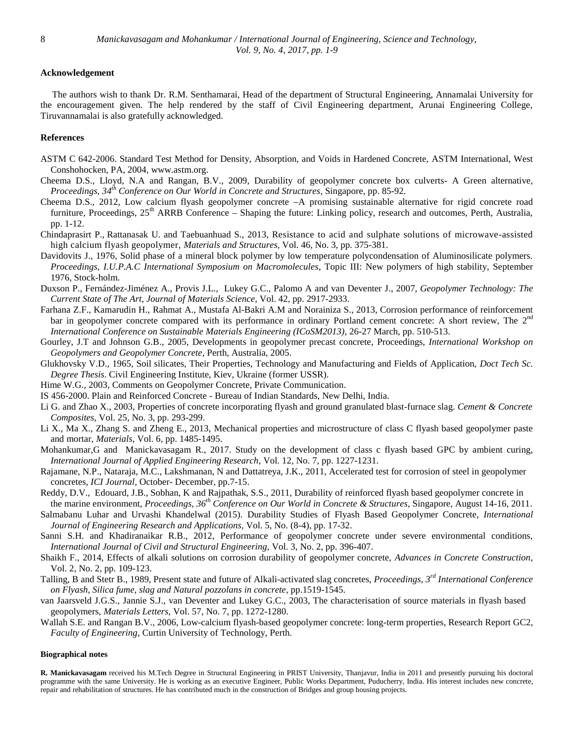## **Acknowledgement**

 The authors wish to thank Dr. R.M. Senthamarai, Head of the department of Structural Engineering, Annamalai University for the encouragement given. The help rendered by the staff of Civil Engineering department, Arunai Engineering College, Tiruvannamalai is also gratefully acknowledged.

## **References**

- ASTM C 642-2006. Standard Test Method for Density, Absorption, and Voids in Hardened Concrete, ASTM International, West Conshohocken, PA, 2004, www.astm.org.
- Cheema D.S., Lloyd, N.A and Rangan, B.V., 2009, Durability of geopolymer concrete box culverts- A Green alternative, *Proceedings, 34th Conference on Our World in Concrete and Structures*, Singapore, pp. 85-92.
- Cheema D.S., 2012, Low calcium flyash geopolymer concrete –A promising sustainable alternative for rigid concrete road furniture, Proceedings,  $25<sup>th</sup> ARRB$  Conference – Shaping the future: Linking policy, research and outcomes, Perth, Australia, pp. 1-12.
- Chindaprasirt P., Rattanasak U. and Taebuanhuad S., 2013, Resistance to acid and sulphate solutions of microwave-assisted high calcium flyash geopolymer, *Materials and Structures*, Vol. 46, No. 3, pp. 375-381.
- Davidovits J., 1976, Solid phase of a mineral block polymer by low temperature polycondensation of Aluminosilicate polymers. *Proceedings, I.U.P.A.C International Symposium on Macromolecules*, Topic III: New polymers of high stability, September 1976, Stock-holm.
- Duxson P., Fernández-Jiménez A., Provis J.L., Lukey G.C., Palomo A and van Deventer J., 2007, *Geopolymer Technology: The Current State of The Art, Journal of Materials Science*, Vol. 42, pp. 2917-2933.
- Farhana Z.F., Kamarudin H., Rahmat A., Mustafa Al-Bakri A.M and Norainiza S., 2013, Corrosion performance of reinforcement bar in geopolymer concrete compared with its performance in ordinary Portland cement concrete: A short review, The 2<sup>nd</sup> *International Conference on Sustainable Materials Engineering (ICoSM2013)*, 26-27 March, pp. 510-513.
- Gourley, J.T and Johnson G.B., 2005, Developments in geopolymer precast concrete, Proceedings, *International Workshop on Geopolymers and Geopolymer Concrete*, Perth, Australia, 2005.
- Glukhovsky V.D., 1965, Soil silicates, Their Properties, Technology and Manufacturing and Fields of Application, *Doct Tech Sc. Degree Thesis*. Civil Engineering Institute, Kiev, Ukraine (former USSR).
- Hime W.G., 2003, Comments on Geopolymer Concrete, Private Communication.
- IS 456-2000. Plain and Reinforced Concrete Bureau of Indian Standards, New Delhi, India.
- Li G. and Zhao X., 2003, Properties of concrete incorporating flyash and ground granulated blast-furnace slag. *Cement & Concrete Composites*, Vol. 25, No. 3, pp. 293-299.
- Li X., Ma X., Zhang S. and Zheng E., 2013, Mechanical properties and microstructure of class C flyash based geopolymer paste and mortar, *Materials*, Vol. 6, pp. 1485-1495.
- Mohankumar,G and Manickavasagam R., 2017. Study on the development of class c flyash based GPC by ambient curing, *International Journal of Applied Engineering Research*, Vol. 12, No. 7, pp. 1227-1231.
- Rajamane, N.P., Nataraja, M.C., Lakshmanan, N and Dattatreya, J.K., 2011, Accelerated test for corrosion of steel in geopolymer concretes, *ICI Journal*, October- December, pp.7-15.
- Reddy, D.V., Edouard, J.B., Sobhan, K and Rajpathak, S.S., 2011, Durability of reinforced flyash based geopolymer concrete in the marine environment, *Proceedings, 36th Conference on Our World in Concrete & Structures*, Singapore, August 14-16, 2011.
- Salmabanu Luhar and Urvashi Khandelwal (2015). Durability Studies of Flyash Based Geopolymer Concrete, *International Journal of Engineering Research and Applications*, Vol. 5, No. (8-4), pp. 17-32.
- Sanni S.H. and Khadiranaikar R.B., 2012, Performance of geopolymer concrete under severe environmental conditions, *International Journal of Civil and Structural Engineering*, Vol. 3, No. 2, pp. 396-407.
- Shaikh F., 2014, Effects of alkali solutions on corrosion durability of geopolymer concrete, *Advances in Concrete Construction*, Vol. 2, No. 2, pp. 109-123.
- Talling, B and Stetr B., 1989, Present state and future of Alkali-activated slag concretes, *Proceedings, 3rd International Conference on Flyash, Silica fume, slag and Natural pozzolans in concrete*, pp.1519-1545.
- van Jaarsveld J.G.S., Jannie S.J., van Deventer and Lukey G.C., 2003, The characterisation of source materials in flyash based geopolymers, *Materials Letters*, Vol. 57, No. 7, pp. 1272-1280.
- Wallah S.E. and Rangan B.V., 2006, Low-calcium flyash-based geopolymer concrete: long-term properties, Research Report GC2, *Faculty of Engineering*, Curtin University of Technology, Perth.

#### **Biographical notes**

**R. Manickavasagam** received his M.Tech Degree in Structural Engineering in PRIST University, Thanjavur, India in 2011 and presently pursuing his doctoral programme with the same University. He is working as an executive Engineer, Public Works Department, Puducherry, India. His interest includes new concrete, repair and rehabilitation of structures. He has contributed much in the construction of Bridges and group housing projects.